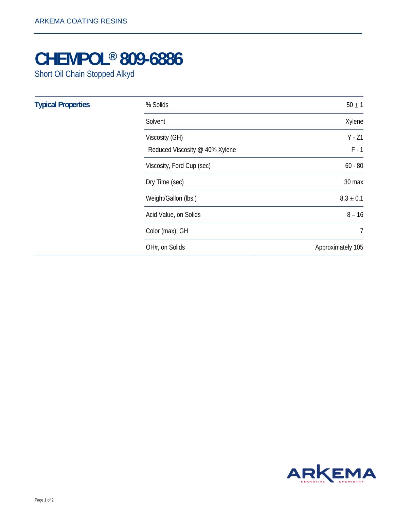## **CHEMPOL® 809-6886**

Short Oil Chain Stopped Alkyd

| <b>Typical Properties</b> | % Solids                                         | $50 \pm 1$          |
|---------------------------|--------------------------------------------------|---------------------|
|                           | Solvent                                          | Xylene              |
|                           | Viscosity (GH)<br>Reduced Viscosity @ 40% Xylene | $Y - Z1$<br>$F - 1$ |
|                           | Viscosity, Ford Cup (sec)                        | $60 - 80$           |
|                           | Dry Time (sec)                                   | 30 max              |
|                           | Weight/Gallon (lbs.)                             | $8.3 \pm 0.1$       |
|                           | Acid Value, on Solids                            | $8 - 16$            |
|                           | Color (max), GH                                  | 7                   |
|                           | OH#, on Solids                                   | Approximately 105   |